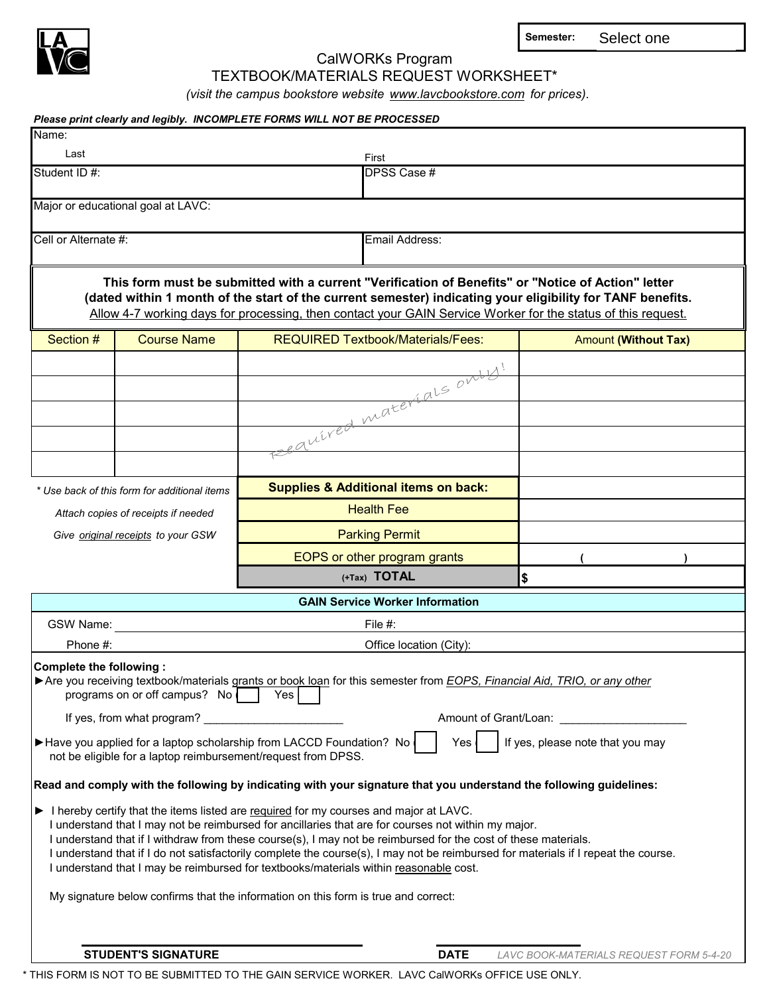

CalWORKs Program

**Semester:** Select one

TEXTBOOK/MATERIALS REQUEST WORKSHEET\*

*(visit the campus bookstore website www.lavcbookstore.com for prices).* 

| Please print clearly and legibly. INCOMPLETE FORMS WILL NOT BE PROCESSED                                                                                                         |                                                                                                                                                                                                                                                                                                                                                                                                                                                      |                             |                                         |  |  |  |  |
|----------------------------------------------------------------------------------------------------------------------------------------------------------------------------------|------------------------------------------------------------------------------------------------------------------------------------------------------------------------------------------------------------------------------------------------------------------------------------------------------------------------------------------------------------------------------------------------------------------------------------------------------|-----------------------------|-----------------------------------------|--|--|--|--|
| Name:                                                                                                                                                                            |                                                                                                                                                                                                                                                                                                                                                                                                                                                      |                             |                                         |  |  |  |  |
| Last                                                                                                                                                                             | First                                                                                                                                                                                                                                                                                                                                                                                                                                                |                             |                                         |  |  |  |  |
| Student ID #:                                                                                                                                                                    | DPSS Case #                                                                                                                                                                                                                                                                                                                                                                                                                                          |                             |                                         |  |  |  |  |
| Major or educational goal at LAVC:                                                                                                                                               |                                                                                                                                                                                                                                                                                                                                                                                                                                                      |                             |                                         |  |  |  |  |
| Cell or Alternate #:                                                                                                                                                             | Email Address:                                                                                                                                                                                                                                                                                                                                                                                                                                       |                             |                                         |  |  |  |  |
|                                                                                                                                                                                  | This form must be submitted with a current "Verification of Benefits" or "Notice of Action" letter<br>(dated within 1 month of the start of the current semester) indicating your eligibility for TANF benefits.<br>Allow 4-7 working days for processing, then contact your GAIN Service Worker for the status of this request.                                                                                                                     |                             |                                         |  |  |  |  |
| Section #<br><b>Course Name</b>                                                                                                                                                  | <b>REQUIRED Textbook/Materials/Fees:</b>                                                                                                                                                                                                                                                                                                                                                                                                             | <b>Amount (Without Tax)</b> |                                         |  |  |  |  |
|                                                                                                                                                                                  | eautred materials onby!                                                                                                                                                                                                                                                                                                                                                                                                                              |                             |                                         |  |  |  |  |
|                                                                                                                                                                                  |                                                                                                                                                                                                                                                                                                                                                                                                                                                      |                             |                                         |  |  |  |  |
|                                                                                                                                                                                  |                                                                                                                                                                                                                                                                                                                                                                                                                                                      |                             |                                         |  |  |  |  |
|                                                                                                                                                                                  |                                                                                                                                                                                                                                                                                                                                                                                                                                                      |                             |                                         |  |  |  |  |
|                                                                                                                                                                                  |                                                                                                                                                                                                                                                                                                                                                                                                                                                      |                             |                                         |  |  |  |  |
|                                                                                                                                                                                  |                                                                                                                                                                                                                                                                                                                                                                                                                                                      |                             |                                         |  |  |  |  |
| * Use back of this form for additional items                                                                                                                                     | <b>Supplies &amp; Additional items on back:</b>                                                                                                                                                                                                                                                                                                                                                                                                      |                             |                                         |  |  |  |  |
| Attach copies of receipts if needed                                                                                                                                              | <b>Health Fee</b>                                                                                                                                                                                                                                                                                                                                                                                                                                    |                             |                                         |  |  |  |  |
| Give original receipts to your GSW                                                                                                                                               |                                                                                                                                                                                                                                                                                                                                                                                                                                                      |                             |                                         |  |  |  |  |
|                                                                                                                                                                                  | <b>Parking Permit</b><br>EOPS or other program grants                                                                                                                                                                                                                                                                                                                                                                                                |                             |                                         |  |  |  |  |
|                                                                                                                                                                                  | (+Tax) TOTAL                                                                                                                                                                                                                                                                                                                                                                                                                                         | \$                          |                                         |  |  |  |  |
|                                                                                                                                                                                  | <b>GAIN Service Worker Information</b>                                                                                                                                                                                                                                                                                                                                                                                                               |                             |                                         |  |  |  |  |
| GSW Name:                                                                                                                                                                        | File #:                                                                                                                                                                                                                                                                                                                                                                                                                                              |                             |                                         |  |  |  |  |
| Phone #:                                                                                                                                                                         | Office location (City):                                                                                                                                                                                                                                                                                                                                                                                                                              |                             |                                         |  |  |  |  |
| Complete the following:                                                                                                                                                          |                                                                                                                                                                                                                                                                                                                                                                                                                                                      |                             |                                         |  |  |  |  |
| Are you receiving textbook/materials grants or book loan for this semester from EOPS, Financial Aid, TRIO, or any other<br>programs on or off campus? No                         | Yes                                                                                                                                                                                                                                                                                                                                                                                                                                                  |                             |                                         |  |  |  |  |
| If yes, from what program?                                                                                                                                                       |                                                                                                                                                                                                                                                                                                                                                                                                                                                      |                             |                                         |  |  |  |  |
| If yes, please note that you may<br>Have you applied for a laptop scholarship from LACCD Foundation? No<br>Yes.<br>not be eligible for a laptop reimbursement/request from DPSS. |                                                                                                                                                                                                                                                                                                                                                                                                                                                      |                             |                                         |  |  |  |  |
| Read and comply with the following by indicating with your signature that you understand the following guidelines:                                                               |                                                                                                                                                                                                                                                                                                                                                                                                                                                      |                             |                                         |  |  |  |  |
| Intereby certify that the items listed are required for my courses and major at LAVC.                                                                                            | I understand that I may not be reimbursed for ancillaries that are for courses not within my major.<br>I understand that if I withdraw from these course(s), I may not be reimbursed for the cost of these materials.<br>I understand that if I do not satisfactorily complete the course(s), I may not be reimbursed for materials if I repeat the course.<br>I understand that I may be reimbursed for textbooks/materials within reasonable cost. |                             |                                         |  |  |  |  |
| My signature below confirms that the information on this form is true and correct:                                                                                               |                                                                                                                                                                                                                                                                                                                                                                                                                                                      |                             |                                         |  |  |  |  |
| <b>STUDENT'S SIGNATURE</b>                                                                                                                                                       |                                                                                                                                                                                                                                                                                                                                                                                                                                                      | <b>DATE</b>                 | LAVC BOOK-MATERIALS REQUEST FORM 5-4-20 |  |  |  |  |